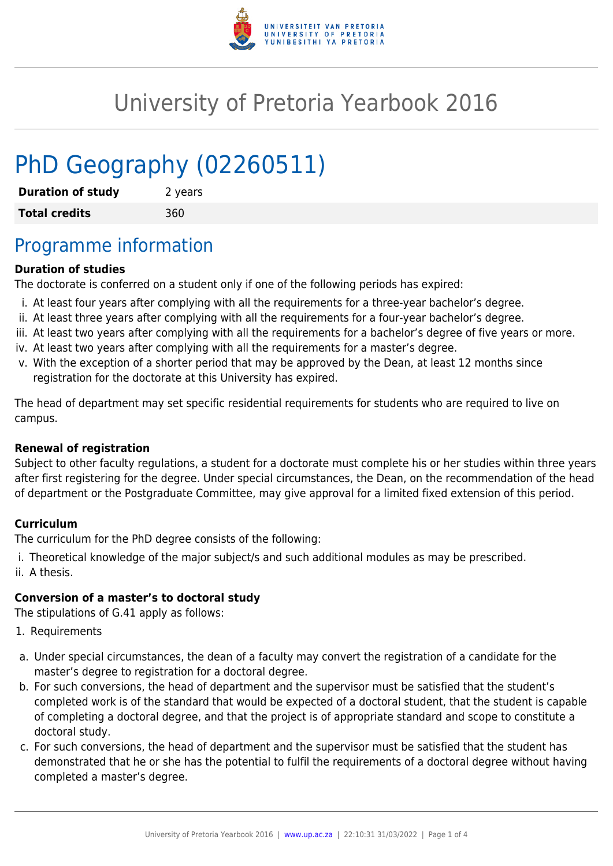

# University of Pretoria Yearbook 2016

# PhD Geography (02260511)

| <b>Duration of study</b> | 2 years |
|--------------------------|---------|
| <b>Total credits</b>     | 360     |

# Programme information

### **Duration of studies**

The doctorate is conferred on a student only if one of the following periods has expired:

- i. At least four years after complying with all the requirements for a three-year bachelor's degree.
- ii. At least three years after complying with all the requirements for a four-year bachelor's degree.
- iii. At least two years after complying with all the requirements for a bachelor's degree of five years or more.
- iv. At least two years after complying with all the requirements for a master's degree.
- v. With the exception of a shorter period that may be approved by the Dean, at least 12 months since registration for the doctorate at this University has expired.

The head of department may set specific residential requirements for students who are required to live on campus.

#### **Renewal of registration**

Subject to other faculty regulations, a student for a doctorate must complete his or her studies within three years after first registering for the degree. Under special circumstances, the Dean, on the recommendation of the head of department or the Postgraduate Committee, may give approval for a limited fixed extension of this period.

#### **Curriculum**

The curriculum for the PhD degree consists of the following:

i. Theoretical knowledge of the major subject/s and such additional modules as may be prescribed. ii. A thesis.

#### **Conversion of a master's to doctoral study**

The stipulations of G.41 apply as follows:

- 1. Requirements
- a. Under special circumstances, the dean of a faculty may convert the registration of a candidate for the master's degree to registration for a doctoral degree.
- b. For such conversions, the head of department and the supervisor must be satisfied that the student's completed work is of the standard that would be expected of a doctoral student, that the student is capable of completing a doctoral degree, and that the project is of appropriate standard and scope to constitute a doctoral study.
- c. For such conversions, the head of department and the supervisor must be satisfied that the student has demonstrated that he or she has the potential to fulfil the requirements of a doctoral degree without having completed a master's degree.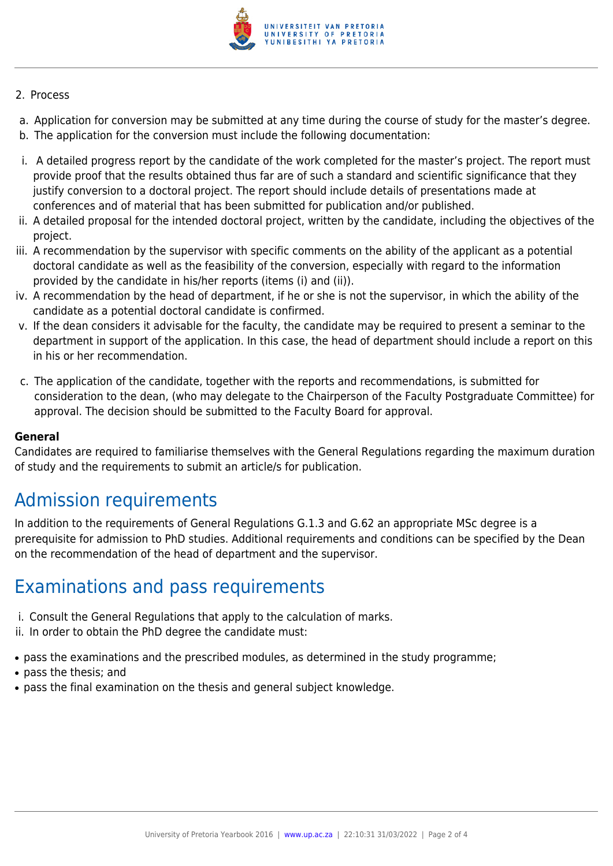

#### 2. Process

- a. Application for conversion may be submitted at any time during the course of study for the master's degree.
- b. The application for the conversion must include the following documentation:
- i. A detailed progress report by the candidate of the work completed for the master's project. The report must provide proof that the results obtained thus far are of such a standard and scientific significance that they justify conversion to a doctoral project. The report should include details of presentations made at conferences and of material that has been submitted for publication and/or published.
- ii. A detailed proposal for the intended doctoral project, written by the candidate, including the objectives of the project.
- iii. A recommendation by the supervisor with specific comments on the ability of the applicant as a potential doctoral candidate as well as the feasibility of the conversion, especially with regard to the information provided by the candidate in his/her reports (items (i) and (ii)).
- iv. A recommendation by the head of department, if he or she is not the supervisor, in which the ability of the candidate as a potential doctoral candidate is confirmed.
- v. If the dean considers it advisable for the faculty, the candidate may be required to present a seminar to the department in support of the application. In this case, the head of department should include a report on this in his or her recommendation.
- c. The application of the candidate, together with the reports and recommendations, is submitted for consideration to the dean, (who may delegate to the Chairperson of the Faculty Postgraduate Committee) for approval. The decision should be submitted to the Faculty Board for approval.

#### **General**

Candidates are required to familiarise themselves with the General Regulations regarding the maximum duration of study and the requirements to submit an article/s for publication.

# Admission requirements

In addition to the requirements of General Regulations G.1.3 and G.62 an appropriate MSc degree is a prerequisite for admission to PhD studies. Additional requirements and conditions can be specified by the Dean on the recommendation of the head of department and the supervisor.

## Examinations and pass requirements

- i. Consult the General Regulations that apply to the calculation of marks.
- ii. In order to obtain the PhD degree the candidate must:
- pass the examinations and the prescribed modules, as determined in the study programme;
- pass the thesis: and
- pass the final examination on the thesis and general subject knowledge.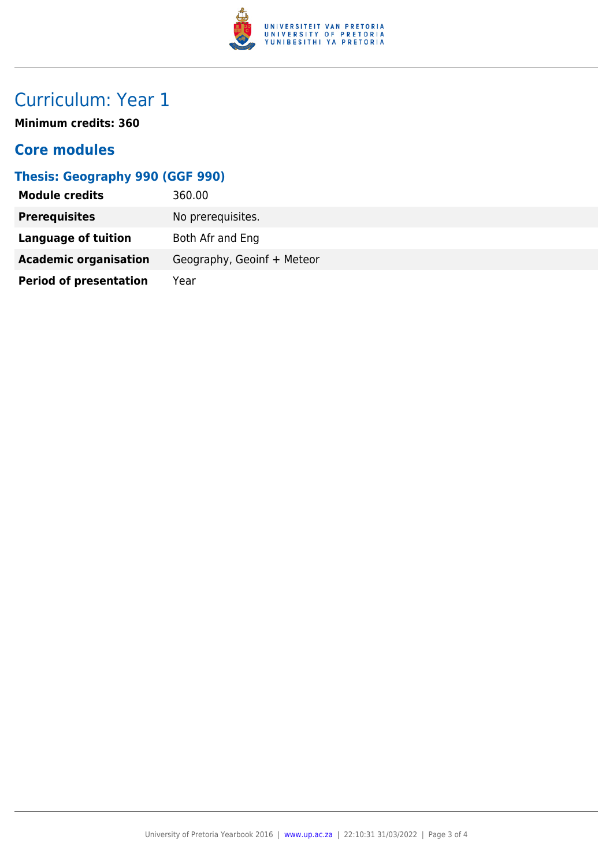

# Curriculum: Year 1

**Minimum credits: 360**

### **Core modules**

### **Thesis: Geography 990 (GGF 990)**

| <b>Module credits</b>         | 360.00                     |
|-------------------------------|----------------------------|
| <b>Prerequisites</b>          | No prerequisites.          |
| <b>Language of tuition</b>    | Both Afr and Eng           |
| <b>Academic organisation</b>  | Geography, Geoinf + Meteor |
| <b>Period of presentation</b> | Year                       |